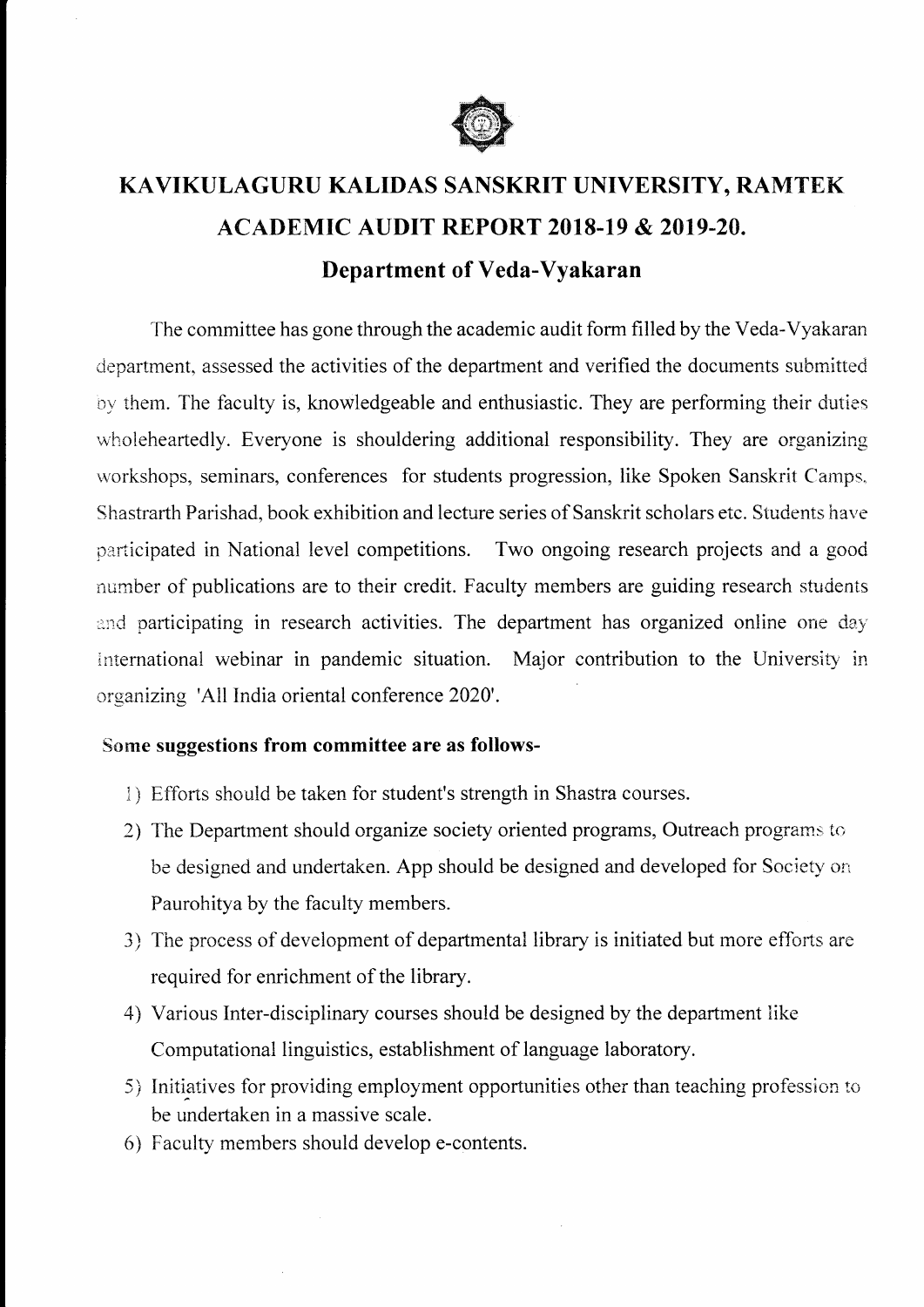

## KAVIKULAGURU KALIDAS SANSKRIT UNIVERSITY, RAMTEK ACADEMIC AUDIT REPORT 2OI8-19 & 2OI9-20. Department of Veda-Vyakaran

The committee has gone through the academic audit form filled by the Veda-Vyakaran department, assessed the activities of the department and verified the documents submitted by them. The faculty is, knowledgeable and enthusiastic. They are performing their duties wholeheartedly. Everyone is shouldering additional responsibility. They are organizing workshops, seminars, conferences for students progression, like Spoken Sanskrit Camps. Shastrarth Parishad, book exhibition and lecture series of Sanskrit scholars etc. Students have participated in National level competitions. Two ongoing research projects and a good number of publications are to their credit. Faculty members are guiding research students ard participating in research activities. The department has organized online one day intemational webinar in pandemic situation. Major contribution to the University in organizing 'All India oriental conference 2020'.

## Some suggestions from committee are as follows-

- 1) Efforts should be taken for student's strength in Shastra courses.
- 2) The Department should organize society oriented programs, Outreach programs to be designed and undertaken. App should be designed and developed for Society on Faurohitya by the faculty members.
- 3) The process of development of departmental library is initiated but more efforts are required for enrichment of the library.
- 4) Various Inter-disciplinary courses should be designed by the department like Computational linguistics, establishment of language laboratory.
- 5) Initiatives for providing employment opportunities other than teaching profession to be undertaken in a massive scale.
- 6) Faculty members should develop e-contents.